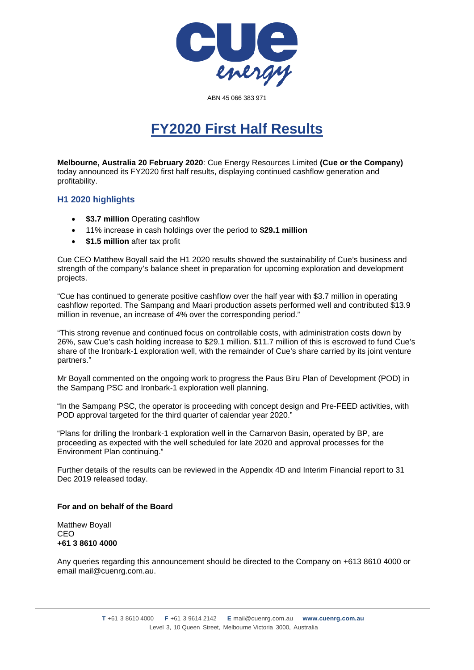

ABN 45 066 383 971

## **FY2020 First Half Results**

**Melbourne, Australia 20 February 2020**: Cue Energy Resources Limited **(Cue or the Company)** today announced its FY2020 first half results, displaying continued cashflow generation and profitability.

## **H1 2020 highlights**

- **\$3.7 million** Operating cashflow
- 11% increase in cash holdings over the period to **\$29.1 million**
- **\$1.5 million** after tax profit

Cue CEO Matthew Boyall said the H1 2020 results showed the sustainability of Cue's business and strength of the company's balance sheet in preparation for upcoming exploration and development projects.

"Cue has continued to generate positive cashflow over the half year with \$3.7 million in operating cashflow reported. The Sampang and Maari production assets performed well and contributed \$13.9 million in revenue, an increase of 4% over the corresponding period."

"This strong revenue and continued focus on controllable costs, with administration costs down by 26%, saw Cue's cash holding increase to \$29.1 million. \$11.7 million of this is escrowed to fund Cue's share of the Ironbark-1 exploration well, with the remainder of Cue's share carried by its joint venture partners."

Mr Boyall commented on the ongoing work to progress the Paus Biru Plan of Development (POD) in the Sampang PSC and Ironbark-1 exploration well planning.

"In the Sampang PSC, the operator is proceeding with concept design and Pre-FEED activities, with POD approval targeted for the third quarter of calendar year 2020."

"Plans for drilling the Ironbark-1 exploration well in the Carnarvon Basin, operated by BP, are proceeding as expected with the well scheduled for late 2020 and approval processes for the Environment Plan continuing."

Further details of the results can be reviewed in the Appendix 4D and Interim Financial report to 31 Dec 2019 released today.

## **For and on behalf of the Board**

Matthew Boyall CEO **+61 3 8610 4000**

Any queries regarding this announcement should be directed to the Company on +613 8610 4000 or email mail@cuenrg.com.au.